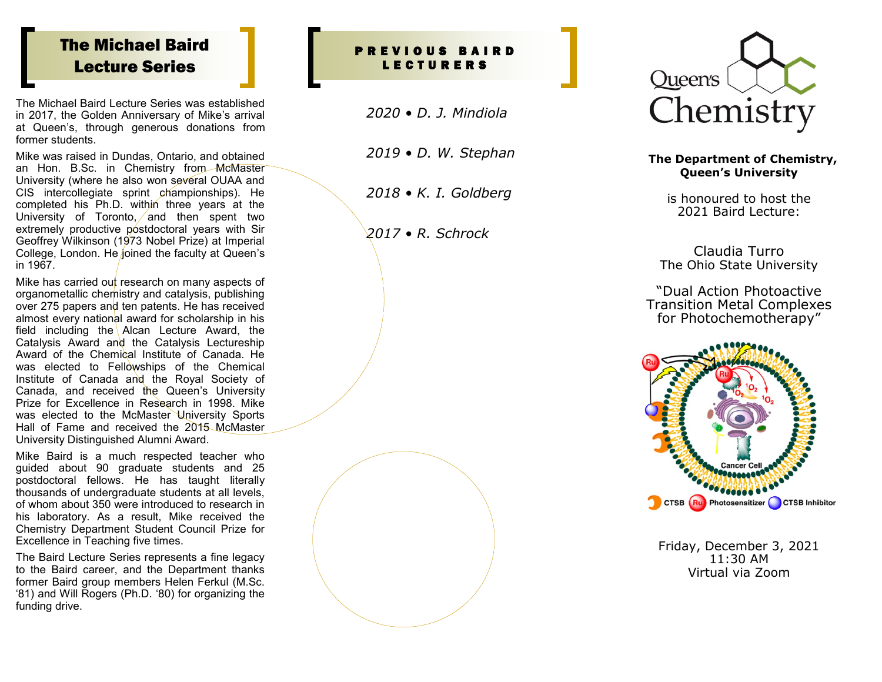# The Michael Baird Lecture Series

The Michael Baird Lecture Series was established in 2017, the Golden Anniversary of Mike 's arrival at Queen 's, through generous donations from former students.

Mike was raised in Dundas, Ontario, and obtained an Hon. B.Sc. in Chemistry from McMaster University (where he also won several OUAA and CIS intercollegiate sprint championships). He completed his Ph.D. within three years at the University of Toronto, and then spent two extremely productive postdoctoral years with Sir Geoffrey Wilkinson (1973 Nobel Prize) at Imperial College, London. He joined the faculty at Queen 's in 1967.

Mike has carried out research on many aspects of organometallic chemistry and catalysis, publishing over 275 papers and ten patents. He has received almost every national award for scholarship in his field including the Alcan Lecture Award, the Catalysis Award and the Catalysis Lectureship Award of the Chemical Institute of Canada. He was elected to Fellowships of the Chemical Institute of Canada and the Royal Society of Canada, and received the Queen 's University Prize for Excellence in Research in 1998. Mike was elected to the McMaster University Sports Hall of Fame and received the 2015 McMaster University Distinguished Alumni Award.

Mike Baird is a much respected teacher who guided about 90 graduate students and 25 postdoctoral fellows. He has taught literally thousands of undergraduate students at all levels, of whom about 350 were introduced to research in his laboratory. As a result, Mike received the Chemistry Department Student Council Prize for Excellence in Teaching five times.

The Baird Lecture Series represents a fine legacy to the Baird career, and the Department thanks former Baird group members Helen Ferkul (M.Sc. '81) and Will Rogers (Ph.D. '80) for organizing the funding drive.

### P R E V I O U S B A I R D L E C T U R E R S

*2020 • D. J. Mindiola*

*2019 • D. W. Stephan*

*2018 • K. I. Goldberg* 

*2017 • R. Schrock* 



#### **The Department of Chemistry, Queen 's University**

is honoured to host the 2021 Baird Lecture:

Claudia Turro The Ohio State University

"Dual Action Photoactive Transition Metal Complexes for Photochemotherapy "



Friday, December 3, 2021 11:30 AM Virtual via Zoom